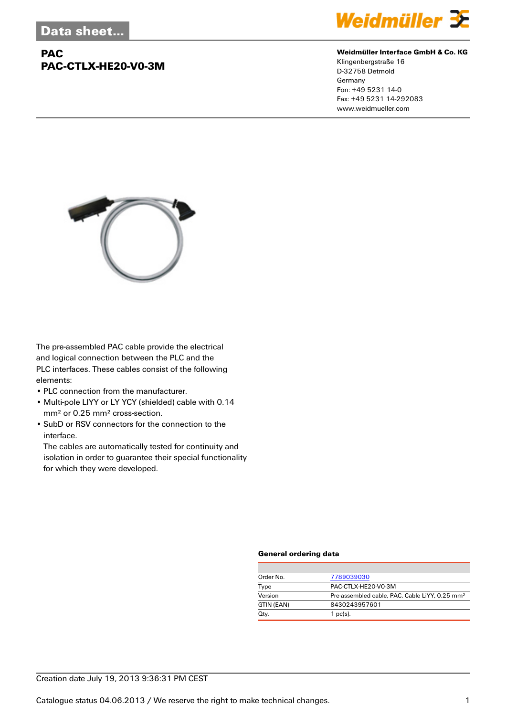## **PAC PAC-CTLX-HE20-V0-3M**



#### **Weidmüller Interface GmbH & Co. KG**

Klingenbergstraße 16 D-32758 Detmold Germany Fon: +49 5231 14-0 Fax: +49 5231 14-292083 www.weidmueller.com



The pre-assembled PAC cable provide the electrical and logical connection between the PLC and the PLC interfaces. These cables consist of the following elements:

- PLC connection from the manufacturer.
- Multi-pole LIYY or LY YCY (shielded) cable with 0.14 mm² or 0.25 mm² cross-section.
- SubD or RSV connectors for the connection to the interface.

The cables are automatically tested for continuity and isolation in order to guarantee their special functionality for which they were developed.

#### **General ordering data**

| Order No.  | 7789039030                                                 |
|------------|------------------------------------------------------------|
| Type       | PAC-CTLX-HE20-V0-3M                                        |
| Version    | Pre-assembled cable, PAC, Cable LiYY, 0.25 mm <sup>2</sup> |
| GTIN (EAN) | 8430243957601                                              |
| Qty.       | $1$ pc(s).                                                 |